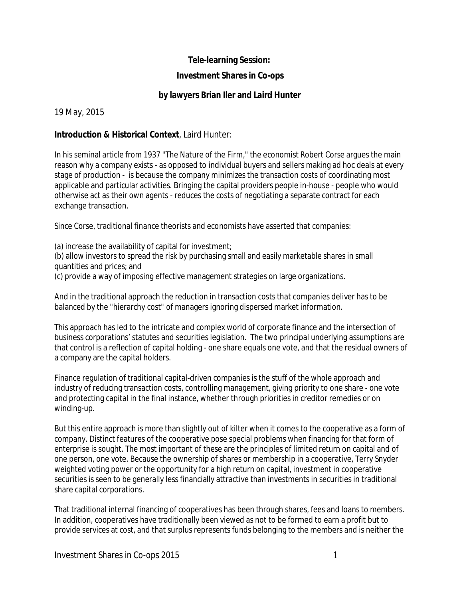#### **Tele-learning Session:**

#### **Investment Shares in Co-ops**

### **by lawyers Brian Iler and Laird Hunter**

19 May, 2015

#### **Introduction & Historical Context**, Laird Hunter:

In his seminal article from 1937 "The Nature of the Firm," the economist Robert Corse argues the main reason why a company exists - as opposed to individual buyers and sellers making ad hoc deals at every stage of production - is because the company minimizes the transaction costs of coordinating most applicable and particular activities. Bringing the capital providers people in-house - people who would otherwise act as their own agents - reduces the costs of negotiating a separate contract for each exchange transaction.

Since Corse, traditional finance theorists and economists have asserted that companies:

(a) increase the availability of capital for investment;

(b) allow investors to spread the risk by purchasing small and easily marketable shares in small quantities and prices; and

(c) provide a way of imposing effective management strategies on large organizations.

And in the traditional approach the reduction in transaction costs that companies deliver has to be balanced by the "hierarchy cost" of managers ignoring dispersed market information.

This approach has led to the intricate and complex world of corporate finance and the intersection of business corporations' statutes and securities legislation. The two principal underlying assumptions are that control is a reflection of capital holding - one share equals one vote, and that the residual owners of a company are the capital holders.

Finance regulation of traditional capital-driven companies is the stuff of the whole approach and industry of reducing transaction costs, controlling management, giving priority to one share - one vote and protecting capital in the final instance, whether through priorities in creditor remedies or on winding-up.

But this entire approach is more than slightly out of kilter when it comes to the cooperative as a form of company. Distinct features of the cooperative pose special problems when financing for that form of enterprise is sought. The most important of these are the principles of limited return on capital and of one person, one vote. Because the ownership of shares or membership in a cooperative, Terry Snyder weighted voting power or the opportunity for a high return on capital, investment in cooperative securities is seen to be generally less financially attractive than investments in securities in traditional share capital corporations.

That traditional internal financing of cooperatives has been through shares, fees and loans to members. In addition, cooperatives have traditionally been viewed as not to be formed to earn a profit but to provide services at cost, and that surplus represents funds belonging to the members and is neither the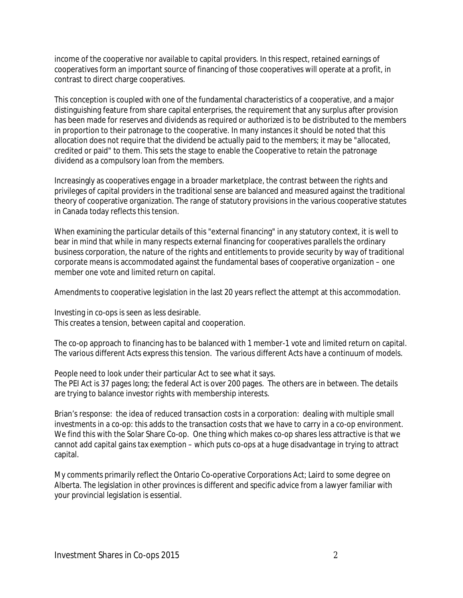income of the cooperative nor available to capital providers. In this respect, retained earnings of cooperatives form an important source of financing of those cooperatives will operate at a profit, in contrast to direct charge cooperatives.

This conception is coupled with one of the fundamental characteristics of a cooperative, and a major distinguishing feature from share capital enterprises, the requirement that any surplus after provision has been made for reserves and dividends as required or authorized is to be distributed to the members in proportion to their patronage to the cooperative. In many instances it should be noted that this allocation does not require that the dividend be actually paid to the members; it may be "allocated, credited or paid" to them. This sets the stage to enable the Cooperative to retain the patronage dividend as a compulsory loan from the members.

Increasingly as cooperatives engage in a broader marketplace, the contrast between the rights and privileges of capital providers in the traditional sense are balanced and measured against the traditional theory of cooperative organization. The range of statutory provisions in the various cooperative statutes in Canada today reflects this tension.

When examining the particular details of this "external financing" in any statutory context, it is well to bear in mind that while in many respects external financing for cooperatives parallels the ordinary business corporation, the nature of the rights and entitlements to provide security by way of traditional corporate means is accommodated against the fundamental bases of cooperative organization – one member one vote and limited return on capital.

Amendments to cooperative legislation in the last 20 years reflect the attempt at this accommodation.

Investing in co-ops is seen as less desirable. This creates a tension, between capital and cooperation.

The co-op approach to financing has to be balanced with 1 member-1 vote and limited return on capital. The various different Acts express this tension. The various different Acts have a continuum of models.

People need to look under their particular Act to see what it says. The PEI Act is 37 pages long; the federal Act is over 200 pages. The others are in between. The details are trying to balance investor rights with membership interests.

Brian's response: the idea of reduced transaction costs in a corporation: dealing with multiple small investments in a co-op: this adds to the transaction costs that we have to carry in a co-op environment. We find this with the Solar Share Co-op. One thing which makes co-op shares less attractive is that we cannot add capital gains tax exemption – which puts co-ops at a huge disadvantage in trying to attract capital.

My comments primarily reflect the Ontario Co-operative Corporations Act; Laird to some degree on Alberta. The legislation in other provinces is different and specific advice from a lawyer familiar with your provincial legislation is essential.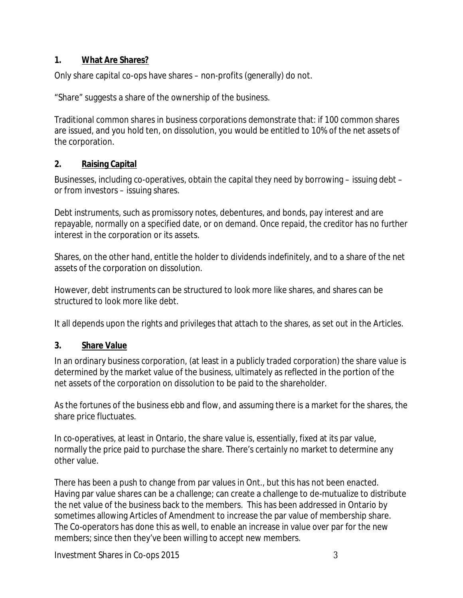## **1. What Are Shares?**

Only share capital co-ops have shares – non-profits (generally) do not.

"Share" suggests a share of the ownership of the business.

Traditional common shares in business corporations demonstrate that: if 100 common shares are issued, and you hold ten, on dissolution, you would be entitled to 10% of the net assets of the corporation.

# **2. Raising Capital**

Businesses, including co-operatives, obtain the capital they need by borrowing – issuing debt – or from investors – issuing shares.

Debt instruments, such as promissory notes, debentures, and bonds, pay interest and are repayable, normally on a specified date, or on demand. Once repaid, the creditor has no further interest in the corporation or its assets.

Shares, on the other hand, entitle the holder to dividends indefinitely, and to a share of the net assets of the corporation on dissolution.

However, debt instruments can be structured to look more like shares, and shares can be structured to look more like debt.

It all depends upon the rights and privileges that attach to the shares, as set out in the Articles.

## **3. Share Value**

In an ordinary business corporation, (at least in a publicly traded corporation) the share value is determined by the market value of the business, ultimately as reflected in the portion of the net assets of the corporation on dissolution to be paid to the shareholder.

As the fortunes of the business ebb and flow, and assuming there is a market for the shares, the share price fluctuates.

In co-operatives, at least in Ontario, the share value is, essentially, fixed at its par value, normally the price paid to purchase the share. There's certainly no market to determine any other value.

There has been a push to change from par values in Ont., but this has not been enacted. Having par value shares can be a challenge; can create a challenge to de-mutualize to distribute the net value of the business back to the members. This has been addressed in Ontario by sometimes allowing Articles of Amendment to increase the par value of membership share. The Co-operators has done this as well, to enable an increase in value over par for the new members; since then they've been willing to accept new members.

Investment Shares in Co-ops 2015 3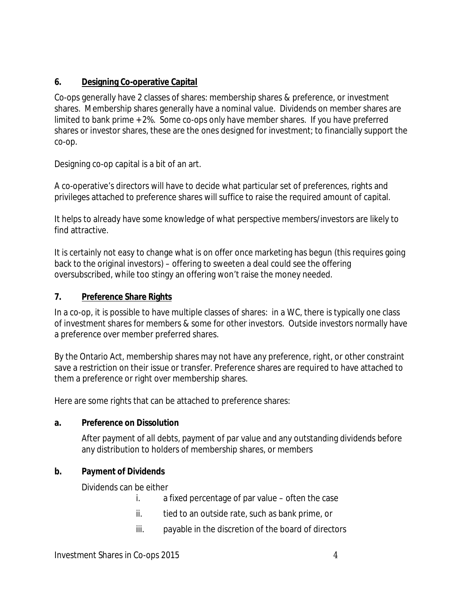### **6. Designing Co-operative Capital**

Co-ops generally have 2 classes of shares: membership shares & preference, or investment shares. Membership shares generally have a nominal value. Dividends on member shares are limited to bank prime + 2%. Some co-ops only have member shares. If you have preferred shares or investor shares, these are the ones designed for investment; to financially support the co-op.

Designing co-op capital is a bit of an art.

A co-operative's directors will have to decide what particular set of preferences, rights and privileges attached to preference shares will suffice to raise the required amount of capital.

It helps to already have some knowledge of what perspective members/investors are likely to find attractive.

It is certainly not easy to change what is on offer once marketing has begun (this requires going back to the original investors) – offering to sweeten a deal could see the offering oversubscribed, while too stingy an offering won't raise the money needed.

## **7. Preference Share Rights**

In a co-op, it is possible to have multiple classes of shares: in a WC, there is typically one class of investment shares for members & some for other investors. Outside investors normally have a preference over member preferred shares.

By the Ontario Act, membership shares may not have any preference, right, or other constraint save a restriction on their issue or transfer. Preference shares are required to have attached to them a preference or right over membership shares.

Here are some rights that can be attached to preference shares:

### **a. Preference on Dissolution**

After payment of all debts, payment of par value and any outstanding dividends before any distribution to holders of membership shares, or members

## **b. Payment of Dividends**

Dividends can be either

- i. a fixed percentage of par value often the case
- ii. tied to an outside rate, such as bank prime, or
- iii. payable in the discretion of the board of directors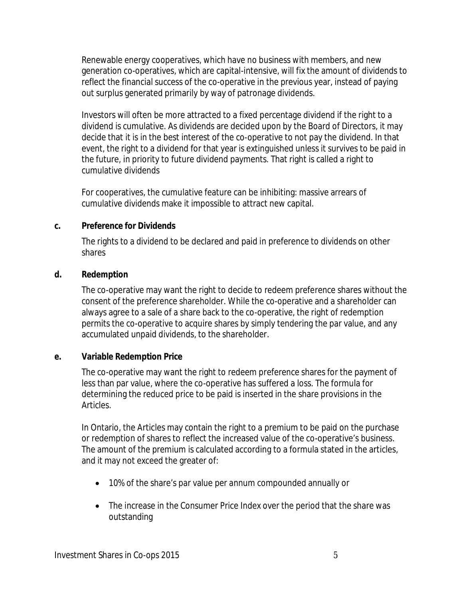Renewable energy cooperatives, which have no business with members, and new generation co-operatives, which are capital-intensive, will fix the amount of dividends to reflect the financial success of the co-operative in the previous year, instead of paying out surplus generated primarily by way of patronage dividends.

Investors will often be more attracted to a fixed percentage dividend if the right to a dividend is cumulative. As dividends are decided upon by the Board of Directors, it may decide that it is in the best interest of the co-operative to not pay the dividend. In that event, the right to a dividend for that year is extinguished unless it survives to be paid in the future, in priority to future dividend payments. That right is called a right to cumulative dividends

For cooperatives, the cumulative feature can be inhibiting: massive arrears of cumulative dividends make it impossible to attract new capital.

#### **c. Preference for Dividends**

The rights to a dividend to be declared and paid in preference to dividends on other shares

#### **d. Redemption**

The co-operative may want the right to decide to redeem preference shares without the consent of the preference shareholder. While the co-operative and a shareholder can always agree to a sale of a share back to the co-operative, the right of redemption permits the co-operative to acquire shares by simply tendering the par value, and any accumulated unpaid dividends, to the shareholder.

### **e. Variable Redemption Price**

The co-operative may want the right to redeem preference shares for the payment of less than par value, where the co-operative has suffered a loss. The formula for determining the reduced price to be paid is inserted in the share provisions in the Articles.

In Ontario, the Articles may contain the right to a premium to be paid on the purchase or redemption of shares to reflect the increased value of the co-operative's business. The amount of the premium is calculated according to a formula stated in the articles, and it may not exceed the greater of:

- 10% of the share's par value per annum compounded annually or
- The increase in the Consumer Price Index over the period that the share was outstanding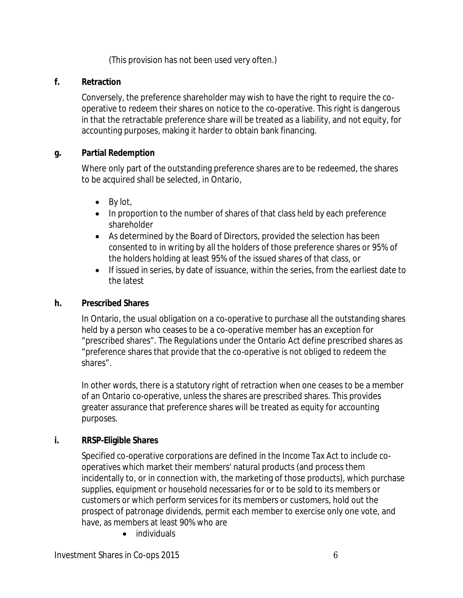(This provision has not been used very often.)

## **f. Retraction**

Conversely, the preference shareholder may wish to have the right to require the cooperative to redeem their shares on notice to the co-operative. This right is dangerous in that the retractable preference share will be treated as a liability, and not equity, for accounting purposes, making it harder to obtain bank financing.

## **g. Partial Redemption**

Where only part of the outstanding preference shares are to be redeemed, the shares to be acquired shall be selected, in Ontario,

- $\bullet$  By lot,
- In proportion to the number of shares of that class held by each preference shareholder
- As determined by the Board of Directors, provided the selection has been consented to in writing by all the holders of those preference shares or 95% of the holders holding at least 95% of the issued shares of that class, or
- If issued in series, by date of issuance, within the series, from the earliest date to the latest

## **h. Prescribed Shares**

In Ontario, the usual obligation on a co-operative to purchase all the outstanding shares held by a person who ceases to be a co-operative member has an exception for "prescribed shares". The Regulations under the Ontario Act define prescribed shares as "preference shares that provide that the co-operative is not obliged to redeem the shares".

In other words, there is a statutory right of retraction when one ceases to be a member of an Ontario co-operative, unless the shares are prescribed shares. This provides greater assurance that preference shares will be treated as equity for accounting purposes.

## **i. RRSP-Eligible Shares**

Specified co-operative corporations are defined in the Income Tax Act to include cooperatives which market their members' natural products (and process them incidentally to, or in connection with, the marketing of those products), which purchase supplies, equipment or household necessaries for or to be sold to its members or customers or which perform services for its members or customers, hold out the prospect of patronage dividends, permit each member to exercise only one vote, and have, as members at least 90% who are

• individuals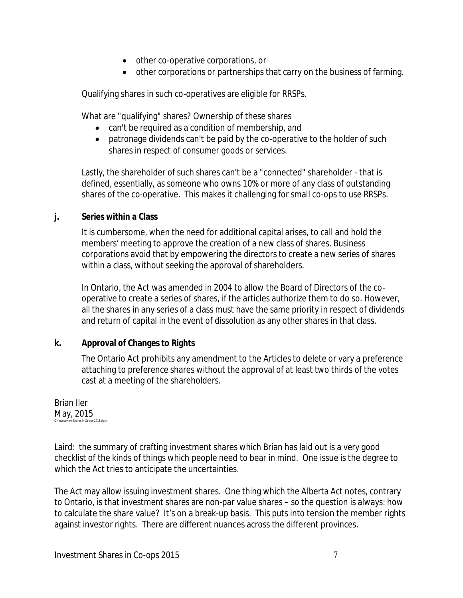- other co-operative corporations, or
- other corporations or partnerships that carry on the business of farming.

Qualifying shares in such co-operatives are eligible for RRSPs.

What are "qualifying" shares? Ownership of these shares

- can't be required as a condition of membership, and
- patronage dividends can't be paid by the co-operative to the holder of such shares in respect of consumer goods or services.

Lastly, the shareholder of such shares can't be a "connected" shareholder - that is defined, essentially, as someone who owns 10% or more of any class of outstanding shares of the co-operative. This makes it challenging for small co-ops to use RRSPs.

#### **j. Series within a Class**

It is cumbersome, when the need for additional capital arises, to call and hold the members' meeting to approve the creation of a new class of shares. Business corporations avoid that by empowering the directors to create a new series of shares within a class, without seeking the approval of shareholders.

In Ontario, the Act was amended in 2004 to allow the Board of Directors of the cooperative to create a series of shares, if the articles authorize them to do so. However, all the shares in any series of a class must have the same priority in respect of dividends and return of capital in the event of dissolution as any other shares in that class.

### **k. Approval of Changes to Rights**

The Ontario Act prohibits any amendment to the Articles to delete or vary a preference attaching to preference shares without the approval of at least two thirds of the votes cast at a meeting of the shareholders.

Brian Iler May, 2015 O:\Investment Shares in Co-ops 2015.docx

Laird: the summary of crafting investment shares which Brian has laid out is a very good checklist of the kinds of things which people need to bear in mind. One issue is the degree to which the Act tries to anticipate the uncertainties.

The Act may allow issuing investment shares. One thing which the Alberta Act notes, contrary to Ontario, is that investment shares are non-par value shares – so the question is always: how to calculate the share value? It's on a break-up basis. This puts into tension the member rights against investor rights. There are different nuances across the different provinces.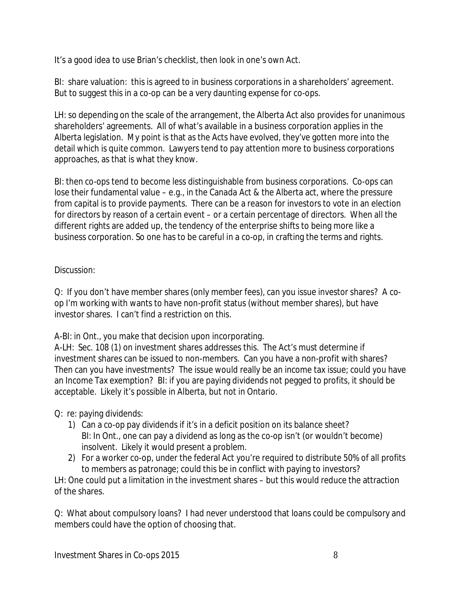It's a good idea to use Brian's checklist, then look in one's own Act.

BI: share valuation: this is agreed to in business corporations in a shareholders' agreement. But to suggest this in a co-op can be a very daunting expense for co-ops.

LH: so depending on the scale of the arrangement, the Alberta Act also provides for unanimous shareholders' agreements. All of what's available in a business corporation applies in the Alberta legislation. My point is that as the Acts have evolved, they've gotten more into the detail which is quite common. Lawyers tend to pay attention more to business corporations approaches, as that is what they know.

BI: then co-ops tend to become less distinguishable from business corporations. Co-ops can lose their fundamental value – e.g., in the Canada Act & the Alberta act, where the pressure from capital is to provide payments. There can be a reason for investors to vote in an election for directors by reason of a certain event – or a certain percentage of directors. When all the different rights are added up, the tendency of the enterprise shifts to being more like a business corporation. So one has to be careful in a co-op, in crafting the terms and rights.

## Discussion:

Q: If you don't have member shares (only member fees), can you issue investor shares? A coop I'm working with wants to have non-profit status (without member shares), but have investor shares. I can't find a restriction on this.

A-BI: in Ont., you make that decision upon incorporating.

A-LH: Sec. 108 (1) on investment shares addresses this. The Act's must determine if investment shares can be issued to non-members. Can you have a non-profit with shares? Then can you have investments? The issue would really be an income tax issue; could you have an Income Tax exemption? BI: if you are paying dividends not pegged to profits, it should be acceptable. Likely it's possible in Alberta, but not in Ontario.

# Q: re: paying dividends:

- 1) Can a co-op pay dividends if it's in a deficit position on its balance sheet? BI: In Ont., one can pay a dividend as long as the co-op isn't (or wouldn't become) insolvent. Likely it would present a problem.
- 2) For a worker co-op, under the federal Act you're required to distribute 50% of all profits to members as patronage; could this be in conflict with paying to investors?

LH: One could put a limitation in the investment shares – but this would reduce the attraction of the shares.

Q: What about compulsory loans? I had never understood that loans could be compulsory and members could have the option of choosing that.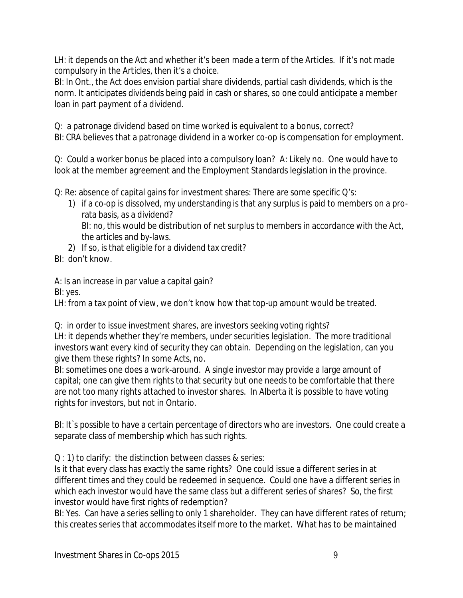LH: it depends on the Act and whether it's been made a term of the Articles. If it's not made compulsory in the Articles, then it's a choice.

BI: In Ont., the Act does envision partial share dividends, partial cash dividends, which is the norm. It anticipates dividends being paid in cash or shares, so one could anticipate a member loan in part payment of a dividend.

Q: a patronage dividend based on time worked is equivalent to a bonus, correct? BI: CRA believes that a patronage dividend in a worker co-op is compensation for employment.

Q: Could a worker bonus be placed into a compulsory loan? A: Likely no. One would have to look at the member agreement and the Employment Standards legislation in the province.

Q: Re: absence of capital gains for investment shares: There are some specific Q's:

- 1) if a co-op is dissolved, my understanding is that any surplus is paid to members on a prorata basis, as a dividend? BI: no, this would be distribution of net surplus to members in accordance with the Act, the articles and by-laws.
- 2) If so, is that eligible for a dividend tax credit?
- BI: don't know.

A: Is an increase in par value a capital gain?

BI: yes.

LH: from a tax point of view, we don't know how that top-up amount would be treated.

Q: in order to issue investment shares, are investors seeking voting rights? LH: it depends whether they're members, under securities legislation. The more traditional investors want every kind of security they can obtain. Depending on the legislation, can you give them these rights? In some Acts, no.

BI: sometimes one does a work-around. A single investor may provide a large amount of capital; one can give them rights to that security but one needs to be comfortable that there are not too many rights attached to investor shares. In Alberta it is possible to have voting rights for investors, but not in Ontario.

BI: It`s possible to have a certain percentage of directors who are investors. One could create a separate class of membership which has such rights.

Q : 1) to clarify: the distinction between classes & series:

Is it that every class has exactly the same rights? One could issue a different series in at different times and they could be redeemed in sequence. Could one have a different series in which each investor would have the same class but a different series of shares? So, the first investor would have first rights of redemption?

BI: Yes. Can have a series selling to only 1 shareholder. They can have different rates of return; this creates series that accommodates itself more to the market. What has to be maintained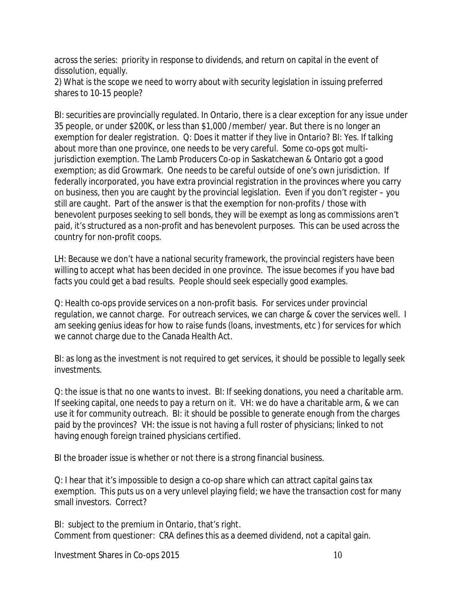across the series: priority in response to dividends, and return on capital in the event of dissolution, equally.

2) What is the scope we need to worry about with security legislation in issuing preferred shares to 10-15 people?

BI: securities are provincially regulated. In Ontario, there is a clear exception for any issue under 35 people, or under \$200K, or less than \$1,000 /member/ year. But there is no longer an exemption for dealer registration. Q: Does it matter if they live in Ontario? BI: Yes. If talking about more than one province, one needs to be very careful. Some co-ops got multijurisdiction exemption. The Lamb Producers Co-op in Saskatchewan & Ontario got a good exemption; as did Growmark. One needs to be careful outside of one's own jurisdiction. If federally incorporated, you have extra provincial registration in the provinces where you carry on business, then you are caught by the provincial legislation. Even if you don't register – you still are caught. Part of the answer is that the exemption for non-profits / those with benevolent purposes seeking to sell bonds, they will be exempt as long as commissions aren't paid, it's structured as a non-profit and has benevolent purposes. This can be used across the country for non-profit coops.

LH: Because we don't have a national security framework, the provincial registers have been willing to accept what has been decided in one province. The issue becomes if you have bad facts you could get a bad results. People should seek especially good examples.

Q: Health co-ops provide services on a non-profit basis. For services under provincial regulation, we cannot charge. For outreach services, we can charge & cover the services well. I am seeking genius ideas for how to raise funds (loans, investments, etc ) for services for which we cannot charge due to the Canada Health Act.

BI: as long as the investment is not required to get services, it should be possible to legally seek investments.

Q: the issue is that no one wants to invest. BI: If seeking donations, you need a charitable arm. If seeking capital, one needs to pay a return on it. VH: we do have a charitable arm, & we can use it for community outreach. BI: it should be possible to generate enough from the charges paid by the provinces? VH: the issue is not having a full roster of physicians; linked to not having enough foreign trained physicians certified.

BI the broader issue is whether or not there is a strong financial business.

Q: I hear that it's impossible to design a co-op share which can attract capital gains tax exemption. This puts us on a very unlevel playing field; we have the transaction cost for many small investors. Correct?

BI: subject to the premium in Ontario, that's right. Comment from questioner: CRA defines this as a deemed dividend, not a capital gain.

Investment Shares in Co-ops 2015 10